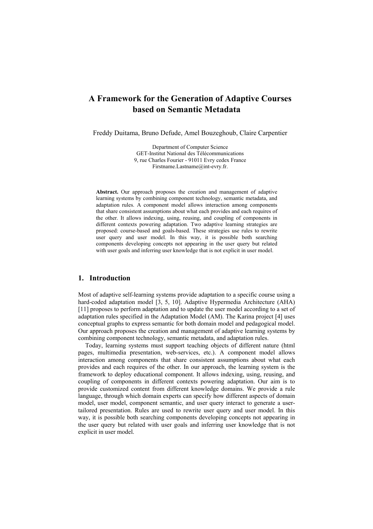# **A Framework for the Generation of Adaptive Courses based on Semantic Metadata**

Freddy Duitama, Bruno Defude, Amel Bouzeghoub, Claire Carpentier

Department of Computer Science GET-Institut National des Télécommunications 9, rue Charles Fourier - 91011 Evry cedex France Firstname.Lastname@int-evry.fr.

**Abstract.** Our approach proposes the creation and management of adaptive learning systems by combining component technology, semantic metadata, and adaptation rules. A component model allows interaction among components that share consistent assumptions about what each provides and each requires of the other. It allows indexing, using, reusing, and coupling of components in different contexts powering adaptation. Two adaptive learning strategies are proposed: course-based and goals-based. These strategies use rules to rewrite user query and user model. In this way, it is possible both searching components developing concepts not appearing in the user query but related with user goals and inferring user knowledge that is not explicit in user model.

## **1. Introduction**

Most of adaptive self-learning systems provide adaptation to a specific course using a hard-coded adaptation model [3, 5, 10]. Adaptive Hypermedia Architecture (AHA) [11] proposes to perform adaptation and to update the user model according to a set of adaptation rules specified in the Adaptation Model (AM). The Karina project [4] uses conceptual graphs to express semantic for both domain model and pedagogical model. Our approach proposes the creation and management of adaptive learning systems by combining component technology, semantic metadata, and adaptation rules.

Today, learning systems must support teaching objects of different nature (html pages, multimedia presentation, web-services, etc.). A component model allows interaction among components that share consistent assumptions about what each provides and each requires of the other. In our approach, the learning system is the framework to deploy educational component. It allows indexing, using, reusing, and coupling of components in different contexts powering adaptation. Our aim is to provide customized content from different knowledge domains. We provide a rule language, through which domain experts can specify how different aspects of domain model, user model, component semantic, and user query interact to generate a usertailored presentation. Rules are used to rewrite user query and user model. In this way, it is possible both searching components developing concepts not appearing in the user query but related with user goals and inferring user knowledge that is not explicit in user model.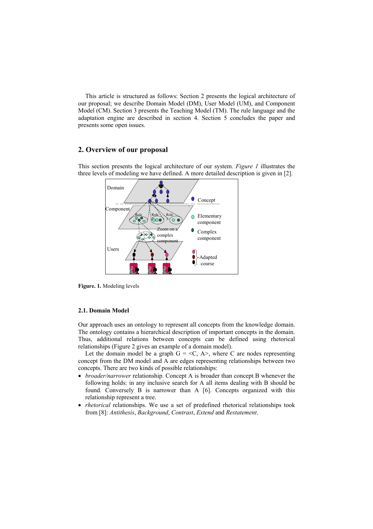This article is structured as follows: Section 2 presents the logical architecture of our proposal; we describe Domain Model (DM), User Model (UM), and Component Model (CM). Section 3 presents the Teaching Model (TM). The rule language and the adaptation engine are described in section 4. Section 5 concludes the paper and presents some open issues.

## **2. Overview of our proposal**

This section presents the logical architecture of our system. *Figure 1* illustrates the three levels of modeling we have defined. A more detailed description is given in [2].



**Figure. 1.** Modeling levels

### **2.1. Domain Model**

Our approach uses an ontology to represent all concepts from the knowledge domain. The ontology contains a hierarchical description of important concepts in the domain. Thus, additional relations between concepts can be defined using rhetorical relationships (Figure 2 gives an example of a domain model).

Let the domain model be a graph  $G = \langle C, A \rangle$ , where C are nodes representing concept from the DM model and A are edges representing relationships between two concepts. There are two kinds of possible relationships:

- *broader/narrower* relationship. Concept A is broader than concept B whenever the following holds: in any inclusive search for A all items dealing with B should be found. Conversely B is narrower than A [6]. Concepts organized with this relationship represent a tree.
- *rhetorical* relationships. We use a set of predefined rhetorical relationships took from [8]: *Antithesis*, *Background*, *Contrast*, *Extend* and *Restatement*.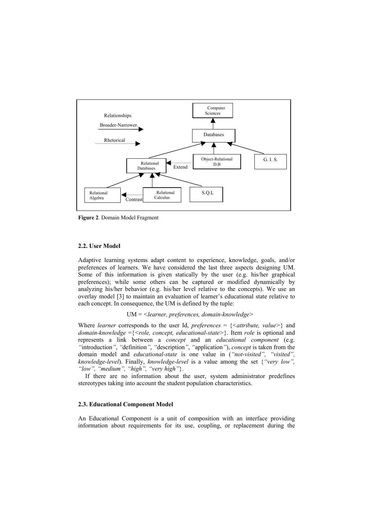

**Figure 2**. Domain Model Fragment

### **2.2. User Model**

Adaptive learning systems adapt content to experience, knowledge, goals, and/or preferences of learners. We have considered the last three aspects designing UM. Some of this information is given statically by the user (e.g. his/her graphical preferences); while some others can be captured or modified dynamically by analyzing his/her behavior (e.g. his/her level relative to the concepts). We use an overlay model [3] to maintain an evaluation of learner's educational state relative to each concept. In consequence, the UM is defined by the tuple:

## UM = *<learner, preferences, domain-knowledge>*

Where *learner* corresponds to the user Id, *preferences* =  $\{$  <i>attribute</i>, <i>value</i>>\} and *domain-knowledge* ={*<role, concept, educational-state>*}. Item *role* is optional and represents a link between a *concept* and an *educational component* (e.g. *"*introduction*"*, *"*definition*"*, *"*description*"*, *"*application*"*), *concept* is taken from the domain model and *educational-state* is one value in (*"not-visited", "visited", knowledge-level*). Finally, *knowledge-level* is a value among the set {*"very low", "low", "medium", "high", "very high"*}.

If there are no information about the user, system administrator predefines stereotypes taking into account the student population characteristics.

### **2.3. Educational Component Model**

An Educational Component is a unit of composition with an interface providing information about requirements for its use, coupling, or replacement during the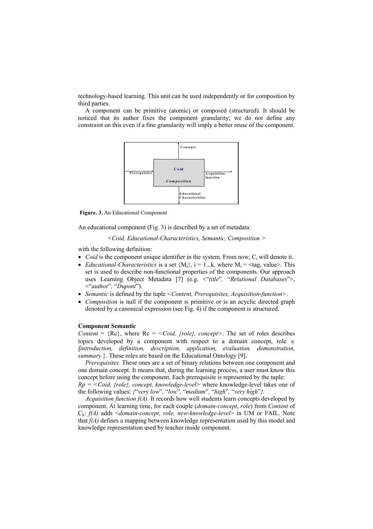technology-based learning. This unit can be used independently or for composition by third parties.

A component can be primitive (atomic) or composed (structured). It should be noticed that its author fixes the component granularity; we do not define any constraint on this even if a fine granularity will imply a better reuse of the component.



 **Figure. 3.** An Educational Component

An educational component (Fig. 3) is described by a set of metadata:

*<Coid, Educational-Characteristics, Semantic, Composition >*

with the following definition:

- $\bullet$  *Coid* is the component unique identifier in the system. From now,  $C_i$  will denote it.
- *Educational-Characteristics* is a set  ${M_i}$ ,  $i = 1...k$ . where  $M_i = \text{tag}$ , value>. This set is used to describe non-functional properties of the components. Our approach uses Learning Object Metadata [7] (e.g. <"*title*"*,* "*Relational Databases*">, <"*author*"*,* "*Dupont*").
- *Semantic* is defined by the tuple *<Content, Prerequisites, Acquisition-function>*.
- *Composition* is null if the component is primitive or is an acyclic directed graph denoted by a canonical expression (see Fig. 4) if the component is structured.

### **Component Semantic**

*Content* =  ${Re}$ , where  ${Re}$  =  ${<}Coid$ ,  ${frole}$ ,  $concept$ . The set of roles describes topics developed by a component with respect to a domain concept, role  $\in$ *{introduction, definition, description, application, evaluation, demonstration, summary* }. These roles are based on the Educational Ontology [9].

*Prerequisites.* These ones are a set of binary relations between one component and one domain concept. It means that, during the learning process, a user must know this concept before using the component. Each prerequisite is represented by the tuple:

*Rp = <Coid, {role}, concept, knowledge-level>* where knowledge-level takes one of the following values: *{*"*very low*"*,* "*low*"*,* "*medium*"*,* "*high*"*,* "*very high*"*}.*

*Acquisition function f(A).* It records how well students learn concepts developed by component. At learning time, for each couple (*domain-concept*, *role*) from *Content* of Ck: *f(A)* adds <*domain-concept, role, new-knowledge-level*> in UM or FAIL. Note that *f(A)* defines a mapping between knowledge representation used by this model and knowledge representation used by teacher inside component.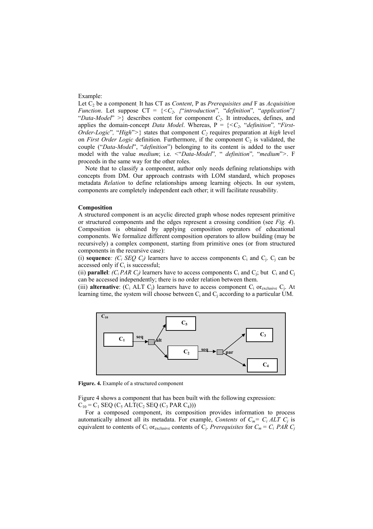#### Example:

Let  $C_2$  be a component. It has CT as *Content*, P as *Prerequisites and* F as *Acquisition Function.* Let suppose  $CT = \{ \langle C_2, \{ \text{``introduction''}, \text{``definition''}, \text{``application''} \} \rangle \}$ "Data-Model" >  $\}$  describes content for component  $C_2$ . It introduces, defines, and applies the domain-concept *Data Model*. Whereas, P = {*<C2,* "*definition*"*,* "*First-Order-Logic*", "*High*">} states that component  $C_2$  requires preparation at *high* level on *First Order Logic* definition. Furthermore, if the component  $C_2$  is validated, the couple ("*Data-Model*", "*definition*") belonging to its content is added to the user model with the value *medium*; i.e. *<*"*Data-Model*"*,* " *definition*"*,* "*medium*"*>*. F proceeds in the same way for the other roles.

Note that to classify a component, author only needs defining relationships with concepts from DM. Our approach contrasts with LOM standard, which proposes metadata *Relation* to define relationships among learning objects. In our system, components are completely independent each other; it will facilitate reusability.

#### **Composition**

A structured component is an acyclic directed graph whose nodes represent primitive or structured components and the edges represent a crossing condition (see *Fig. 4*). Composition is obtained by applying composition operators of educational components. We formalize different composition operators to allow building (may be recursively) a complex component, starting from primitive ones (or from structured components in the recursive case):

(i) **sequence***:*  $(C_i$  *SEQ*  $C_j$ *)* learners have to access components  $C_i$  and  $C_j$ .  $C_j$  can be accessed only if  $C_i$  is successful;

(ii) **parallel**:  $(C_i PAR C_j)$  learners have to access components  $C_i$  and  $C_j$ ; but  $C_i$  and  $C_j$ can be accessed independently; there is no order relation between them.

(iii) **alternative**:  $(C_i$  ALT  $C_i$ ) learners have to access component  $C_i$  or  $C_i$ . At learning time, the system will choose between  $C_i$  and  $C_j$  according to a particular UM.



**Figure. 4.** Example of a structured component

Figure 4 shows a component that has been built with the following expression:  $C_{10} = C_1$  SEQ (C<sub>5</sub> ALT(C<sub>2</sub> SEQ (C<sub>3</sub> PAR C<sub>4</sub>)))

For a composed component, its composition provides information to process automatically almost all its metadata. For example, *Contents* of  $C_m = C_i ALT C_j$  is equivalent to contents of C<sub>i</sub> or<sub>exclusive</sub> contents of C<sub>i</sub>. *Prerequisites* for  $C_m = C_i P A R C_j$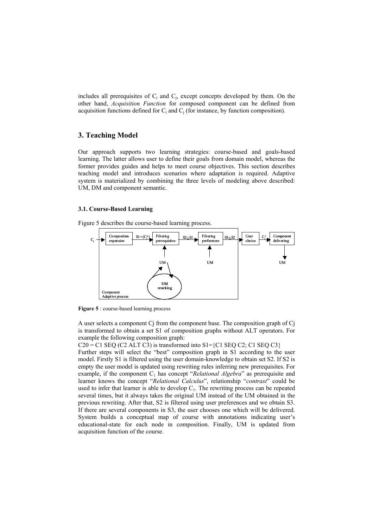includes all prerequisites of  $C_i$  and  $C_j$ , except concepts developed by them. On the other hand, *Acquisition Function* for composed component can be defined from acquisition functions defined for  $C_i$  and  $C_j$  (for instance, by function composition).

## **3. Teaching Model**

Our approach supports two learning strategies: course-based and goals-based learning. The latter allows user to define their goals from domain model, whereas the former provides guides and helps to meet course objectives. This section describes teaching model and introduces scenarios where adaptation is required. Adaptive system is materialized by combining the three levels of modeling above described: UM, DM and component semantic.

### **3.1. Course-Based Learning**

Figure 5 describes the course-based learning process.



**Figure 5** : course-based learning process

A user selects a component Cj from the component base. The composition graph of Cj is transformed to obtain a set S1 of composition graphs without ALT operators. For example the following composition graph:

 $C20 = C1$  SEQ (C2 ALT C3) is transformed into S1={C1 SEQ C2; C1 SEQ C3}

Further steps will select the "best" composition graph in S1 according to the user model. Firstly S1 is filtered using the user domain-knowledge to obtain set S2. If S2 is empty the user model is updated using rewriting rules inferring new prerequisites. For example, if the component  $C_1$  has concept "*Relational Algebra*" as prerequisite and learner knows the concept "*Relational Calculus*", relationship "*contrast*" could be used to infer that learner is able to develop  $C_1$ . The rewriting process can be repeated several times, but it always takes the original UM instead of the UM obtained in the previous rewriting. After that, S2 is filtered using user preferences and we obtain S3. If there are several components in S3, the user chooses one which will be delivered. System builds a conceptual map of course with annotations indicating user's educational-state for each node in composition. Finally, UM is updated from acquisition function of the course.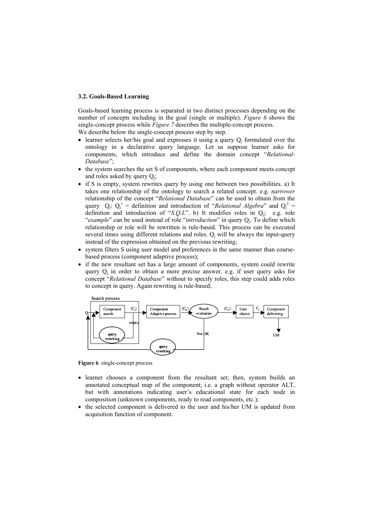### **3.2. Goals-Based Learning**

Goals-based learning process is separated in two distinct processes depending on the number of concepts including in the goal (single or multiple). *Figure 6* shows the single-concept process while *Figure 7* describes the multiple-concept process.

We describe below the single-concept process step by step.

- learner selects her/his goal and expresses it using a query  $Q_i$  formulated over the ontology in a declarative query language. Let us suppose learner asks for components, which introduce and define the domain concept "*Relational-Database*";
- the system searches the set S of components, where each component meets concept and roles asked by query  $Q_i$ ;
- if S is empty, system rewrites query by using one between two possibilities. a) It takes one relationship of the ontology to search a related concept. e.g. *narrower* relationship of the concept "*Relational Database*" can be used to obtain from the query  $Q_i$ :  $Q_i^1$  = definition and introduction of "*Relational Algebra*" and  $Q_i^2$  = definition and introduction of "*S.Q.L*". b) It modifies roles in Qj; e.g. role "*example*" can be used instead of role "*introduction*" in query Qj. To define which relationship or role will be rewritten is rule-based. This process can be executed several times using different relations and roles.  $Q_i$  will be always the input-query instead of the expression obtained on the previous rewriting;
- system filters S using user model and preferences in the same manner than coursebased process (component adaptive process);
- if the new resultant set has a large amount of components, system could rewrite query  $Q_i$  in order to obtain a more precise answer. e.g. if user query asks for concept "*Relational Database*" without to specify roles, this step could adds roles to concept in query. Again rewriting is rule-based;



**Figure 6**. single-concept process

- learner chooses a component from the resultant set; then, system builds an annotated conceptual map of the component; i.e. a graph without operator ALT, but with annotations indicating user's educational state for each node in composition (unknown components, ready to read components, etc.);
- the selected component is delivered to the user and his/her UM is updated from acquisition function of component.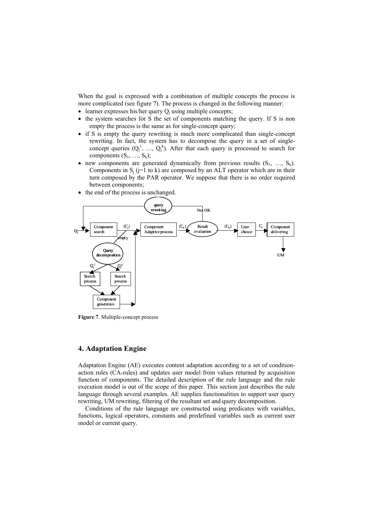When the goal is expressed with a combination of multiple concepts the process is more complicated (see figure 7). The process is changed in the following manner:

- learner expresses his/her query  $Q_i$  using multiple concepts;
- the system searches for S the set of components matching the query. If S is non empty the process is the same as for single-concept query;
- if S is empty the query rewriting is much more complicated than single-concept rewriting. In fact, the system has to decompose the query in a set of singleconcept queries  $(Q_j^1, ..., Q_j^k)$ . After that each query is processed to search for components  $(S_1, ..., S_k)$ ;
- new components are generated dynamically from previous results  $(S_1, ..., S_k)$ . Components in  $S_i$  (j=1 to k) are composed by an ALT operator which are in their turn composed by the PAR operator. We suppose that there is no order required between components;
- the end of the process is unchanged.



**Figure 7**. Multiple-concept process

## **4. Adaptation Engine**

Adaptation Engine (AE) executes content adaptation according to a set of conditionaction rules (CA-rules) and updates user model from values returned by acquisition function of components. The detailed description of the rule language and the rule execution model is out of the scope of this paper. This section just describes the rule language through several examples. AE supplies functionalities to support user query rewriting, UM rewriting, filtering of the resultant set and query decomposition.

Conditions of the rule language are constructed using predicates with variables, functions, logical operators, constants and predefined variables such as current user model or current query.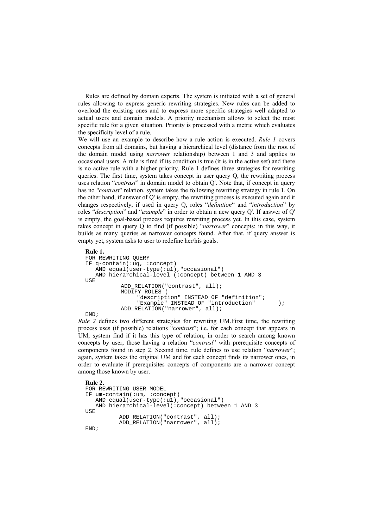Rules are defined by domain experts. The system is initiated with a set of general rules allowing to express generic rewriting strategies. New rules can be added to overload the existing ones and to express more specific strategies well adapted to actual users and domain models. A priority mechanism allows to select the most specific rule for a given situation. Priority is processed with a metric which evaluates the specificity level of a rule.

We will use an example to describe how a rule action is executed. *Rule 1* covers concepts from all domains, but having a hierarchical level (distance from the root of the domain model using *narrower* relationship) between 1 and 3 and applies to occasional users. A rule is fired if its condition is true (it is in the active set) and there is no active rule with a higher priority. Rule 1 defines three strategies for rewriting queries. The first time, system takes concept in user query Q, the rewriting process uses relation "*contrast*" in domain model to obtain Q'. Note that, if concept in query has no "*contrast*" relation, system takes the following rewriting strategy in rule 1. On the other hand, if answer of Q' is empty, the rewriting process is executed again and it changes respectively, if used in query Q, roles "*definition*" and "*introduction*" by roles "*description*" and "*example*" in order to obtain a new query Q'. If answer of Q' is empty, the goal-based process requires rewriting process yet. In this case, system takes concept in query Q to find (if possible) "*narrower*" concepts; in this way, it builds as many queries as narrower concepts found. After that, if query answer is empty yet, system asks to user to redefine her/his goals.

#### **Rule 1.**

```
FOR REWRITING OUERY
IF q-contain(:uq, :concept) 
   AND equal(user-type(:u1), "occasional")
    AND hierarchical-level (:concept) between 1 AND 3 
USE
          ADD_RELATION("contrast", all);
          MODIFY_ROLES (
               "description" INSTEAD OF "definition";
               "Example" INSTEAD OF "introduction" );
          ADD_RELATION("narrower", all);
END;
```
*Rule 2* defines two different strategies for rewriting UM.First time, the rewriting process uses (if possible) relations "c*ontrast*"; i.e. for each concept that appears in UM, system find if it has this type of relation, in order to search among known concepts by user, those having a relation "*contrast*" with prerequisite concepts of components found in step 2. Second time, rule defines to use relation "*narrower*"; again, system takes the original UM and for each concept finds its narrower ones, in order to evaluate if prerequisites concepts of components are a narrower concept among those known by user.

```
Rule 2. 
FOR REWRITING USER MODEL 
IF um-contain(:um, :concept) 
    AND equal(user-type(:u1),"occasional") 
    AND hierarchical-level(:concept) between 1 AND 3 
USE
           ADD_RELATION("contrast", all); 
           ADD_RELATION("narrower", all);
END;
```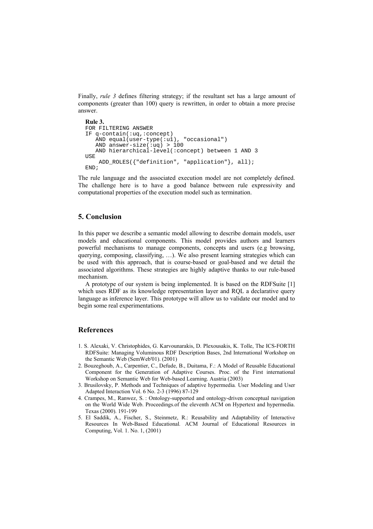Finally, *rule 3* defines filtering strategy; if the resultant set has a large amount of components (greater than 100) query is rewritten, in order to obtain a more precise answer.

```
Rule 3. 
FOR FILTERING ANSWER 
IF q-contain(:uq,:concept) 
    AND equal(user-type(:u1), "occasional")
    AND answer-size(:uq) > 100
    AND hierarchical-level(:concept) between 1 AND 3 
USE
     ADD_ROLES({"definition", "application"}, all); 
END;
```
The rule language and the associated execution model are not completely defined. The challenge here is to have a good balance between rule expressivity and computational properties of the execution model such as termination.

## **5. Conclusion**

In this paper we describe a semantic model allowing to describe domain models, user models and educational components. This model provides authors and learners powerful mechanisms to manage components, concepts and users (e.g browsing, querying, composing, classifying, …). We also present learning strategies which can be used with this approach, that is course-based or goal-based and we detail the associated algorithms. These strategies are highly adaptive thanks to our rule-based mechanism.

A prototype of our system is being implemented. It is based on the RDFSuite [1] which uses RDF as its knowledge representation layer and RQL a declarative query language as inference layer. This prototype will allow us to validate our model and to begin some real experimentations.

## **References**

- 1. S. Alexaki, V. Christophides, G. Karvounarakis, D. Plexousakis, K. Tolle, The ICS-FORTH RDFSuite: Managing Voluminous RDF Description Bases, 2nd International Workshop on the Semantic Web (SemWeb'01). (2001)
- 2. Bouzeghoub, A., Carpentier, C., Defude, B., Duitama, F.: A Model of Reusable Educational Component for the Generation of Adaptive Courses. Proc. of the First international Workshop on Semantic Web for Web-based Learning. Austria (2003)
- 3. Brusilovsky, P. Methods and Techniques of adaptive hypermedia*.* User Modeling and User Adapted Interaction Vol. 6 No. 2-3 (1996) 87-129
- 4. Crampes, M., Ranwez, S. : Ontology-supported and ontology-driven conceptual navigation on the World Wide Web. Proceedings.of the eleventh ACM on Hypertext and hypermedia. Texas (2000). 191-199
- 5. El Saddik, A., Fischer, S., Steinmetz, R.: Reusability and Adaptability of Interactive Resources In Web-Based Educational*.* ACM Journal of Educational Resources in Computing, Vol. 1. No. 1, (2001)